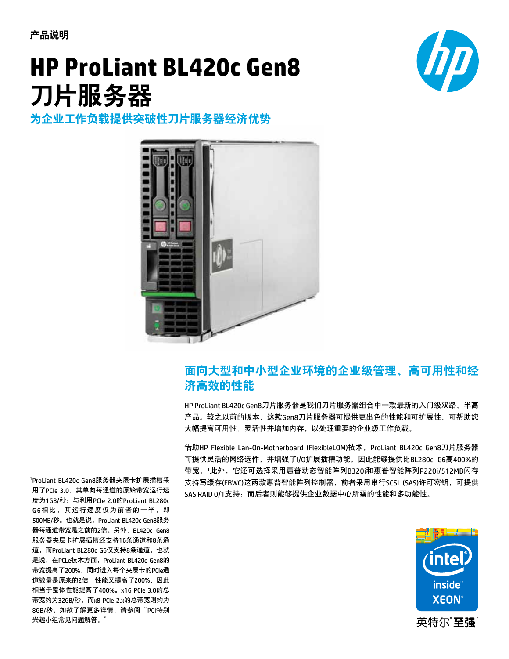产品说明

# **HP ProLiant BL460c Gen8 HP ProLiant BL420c Gen8 HP ProLiant BL420c Server Blade** 刀片服务器 -----------<br><del>山</del>眠久哭



# 。<br>为企业工作负载提供突破性刀片服务器经济优势



## 面向大型和中小型企业环境的企业级管理、高可用性和经 This dual-socket server blade comes with new and enhanced features, such as: 济高效的性能 **efficient performance for enterprise and SMB environments**

HP ProLiant BL420c Gen8刀片服务器是我们刀片服务器组合中一款最新的入门级双路、半高 产品。较之以前的版本,这款Gen8刀片服务器可提供更出色的性能和可扩展性,可帮助您 ,品。农定众协调流来,是然dchoxx和族务品的选入更出已的性能和的。及性,特别身<br>大幅提高可用性、灵活性并增加内存,以处理重要的企业级工作负载。 at  $1866$  MHz, with the ability to operate registered DIMMs (RDIMMs) at a low power ( $1.35$  V)  $\alpha$ 

借助HP Flexible Lan-On-Motherboard (FlexibleLOM)技术,ProLiant BL420c Gen8刀片服务器 可提供灵活的网络选件,并增强了I/0扩展插槽功能,因此能够提供比BL280c G6高400%的 ,<sub>这以来出现的基</sub>色出,开始,对。<br>带宽。'此外,它还可选择采用惠普动态智能阵列B320i和惠普智能阵列P220i/512MB闪存 支持写缓存(FBWC)这两款惠普智能阵列控制器,前者采用串行SCSI (SAS)许可密钥,可提供 from deployment to continued management, service alerts, and remote support SAS RAID 0/1支持;而后者则能够提供企业数据中心所需的性能和多功能性。  $\bar{\mathbf{c}}$ 。'此外,匕处可选<mark>拴米用患普</mark>功态智能件列B320i和患普智能件列P220i/512MB



是说, 在PCLe技术方面, ProLiant BL420c Gen8的 per second. Actual results will depend on 带宽提高了200%,同时进入每个夹层卡的PCIe通 Special Interest Group FAQ." 道数量是原来的2倍,性能又提高了200%,因此 相当于整体性能提高了400%。x16 PCIe 3.0的总 带宽约为32GB/秒,而x8 PCIe 2.x的总带宽则约为 technology is limited to the two independent RAID of the Second Second RAID 0.000 million and RAID 0.000 million and RAID 0.000 million and RAID 0.000 million and RAID 0.000 million and RAID 0.000 million and RAID 0.000 mi 8GB/秒。如欲了解更多详情,请参阅"PCI特别 <sup>1</sup>ProLiant BL420c Gen8服务器夹层卡扩展插槽采 用了PCIe 3.0,其单向每通道的原始带宽运行速 度为1GB/秒;与利用PCIe 2.0的ProLiant BL280c G6相比,其运行速度仅为前者的一半,即 ProLiant BL280c G6 only supports 8 lanes. This 500MB/秒。也就是说, ProLiant BL420c Gen8服务 器每通道带宽是之前的2倍。另外,BL420c Gen8 服务器夹层卡扩展插槽还支持16条通道和8条通 of the mezzanines, equating to the 400 percent 道,而ProLiant BL280c G6仅支持8条通道。也就 兴趣小组常见问题解答。" BL420c Gen8 服务器尖层卡扩展插槽米 translates to a 200 percent increase in bandwidth figure. The total bandwidth for x16 PCIe 3.0 is ~32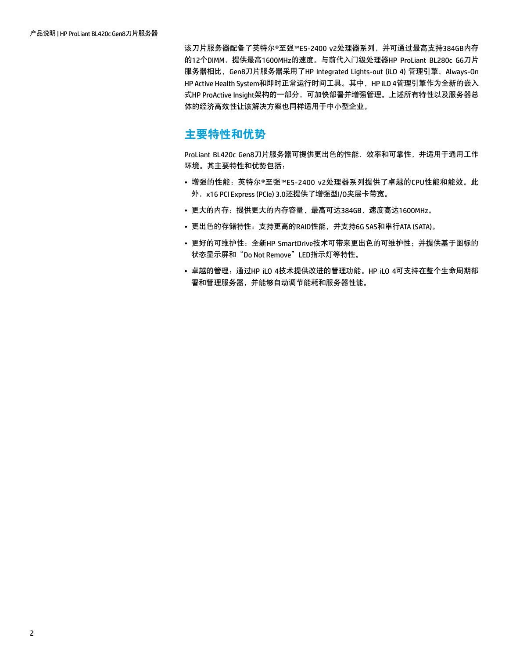该刀片服务器配备了英特尔®至强™E5-2400 v2处理器系列,并可通过最高支持384GB内存 的12个DIMM,提供最高1600MHz的速度。与前代入门级处理器HP ProLiant BL280c G6刀片 服务器相比,Gen8刀片服务器采用了HP Integrated Lights-out (iLO 4) 管理引擎、Always-On HP Active Health System和即时正常运行时间工具。其中, HP iLO 4管理引擎作为全新的嵌入 式HP ProActive Insight架构的一部分,可加快部署并增强管理。上述所有特性以及服务器总 体的经济高效性让该解决方案也同样适用于中小型企业。

## 主要特性和优势

ProLiant BL420c Gen8刀片服务器可提供更出色的性能、效率和可靠性,并适用于通用工作 环境。其主要特性和优势包括:

- 增强的性能:英特尔®至强™E5-2400 v2处理器系列提供了卓越的CPU性能和能效。此 外,x16 PCI Express (PCIe) 3.0还提供了增强型I/O夹层卡带宽。
- 更大的内存:提供更大的内存容量,最高可达384GB,速度高达1600MHz。
- 更出色的存储特性:支持更高的RAID性能,并支持6G SAS和串行ATA (SATA)。
- 更好的可维护性:全新HP SmartDrive技术可带来更出色的可维护性;并提供基于图标的 状态显示屏和"Do Not Remove"LED指示灯等特性。
- 卓越的管理:通过HP iLO 4技术提供改进的管理功能。HP iLO 4可支持在整个生命周期部 署和管理服务器,并能够自动调节能耗和服务器性能。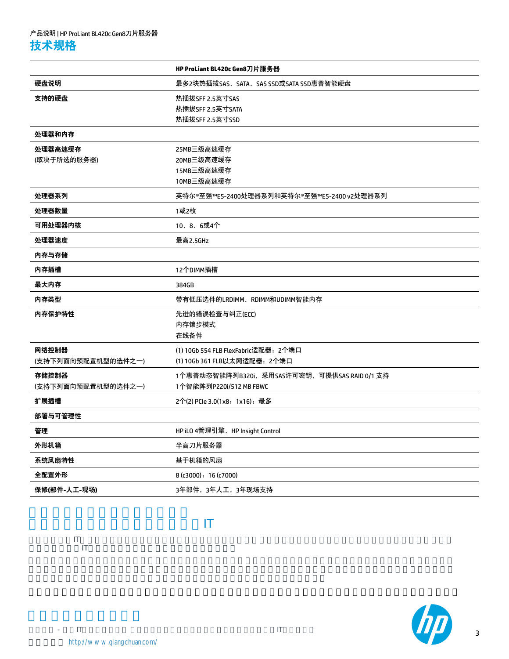|                    | HP ProLiant BL420c Gen8刀片服务器                 |
|--------------------|----------------------------------------------|
| 硬盘说明               | 最多2块热插拔SAS、SATA、SAS SSD或SATA SSD惠普智能硬盘       |
| 支持的硬盘              | 热插拔SFF 2.5英寸SAS                              |
|                    | 热插拔SFF 2.5英寸SATA<br>热插拔SFF 2.5英寸SSD          |
|                    |                                              |
| 处理器和内存             |                                              |
| 处理器高速缓存            | 25MB三级高速缓存                                   |
| (取决于所选的服务器)        | 20MB三级高速缓存                                   |
|                    | 15MB三级高速缓存                                   |
|                    | 10MB三级高速缓存                                   |
| 处理器系列              | 英特尔®至强™E5-2400处理器系列和英特尔®至强™E5-2400 v2处理器系列   |
| 处理器数量              | 1或2枚                                         |
| 可用处理器内核            | 10、8、6或4个                                    |
| 处理器速度              | 最高2.5GHz                                     |
| 内存与存储              |                                              |
| 内存插槽               | 12个DIMM插槽                                    |
| 最大内存               | 384GB                                        |
| 内存类型               | 带有低压选件的LRDIMM、RDIMM和UDIMM智能内存                |
| 内存保护特性             | 先进的错误检查与纠正(ECC)                              |
|                    | 内存锁步模式                                       |
|                    | 在线备件                                         |
| 网络控制器              | (1) 10Gb 554 FLB FlexFabric适配器: 2个端口         |
| (支持下列面向预配置机型的选件之一) | (1) 10Gb 361 FLB以太网适配器; 2个端口                 |
| 存储控制器              | 1个惠普动态智能阵列B320i,采用SAS许可密钥,可提供SAS RAID 0/1 支持 |
| (支持下列面向预配置机型的选件之一) | 1个智能阵列P220i/512 MB FBWC                      |
| 扩展插槽               | 2个(2) PCle 3.0(1x8,1x16),最多                  |
| 部署与可管理性            |                                              |
| 管理                 | HP iLO 4管理引擎、HP Insight Control              |
| 外形机箱               | 半高刀片服务器                                      |
| 系统风扇特性             | 基于机箱的风扇                                      |
| 全配置外形              | 8 (c3000); 16 (c7000)                        |
| 保修(部件-人工-现场)       | 3年部件, 3年人工, 3年现场支持                           |

我们在想,如何让服务器简化您的IT

当越来越多的IT公司正关注如何扩大服务器产品销路和市场占有率的时候,作为西部地区领先的信息与技术服务公司,强川却通过



3

 $\frac{1}{\pi}$